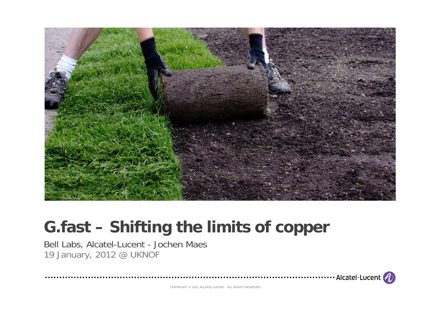

## **G.fast – Shifting the limits of copper**

Bell Labs, Alcatel-Lucent - Jochen Maes 19 January, 2012 @ UKNOF

 $\cdot$  Alcatel·Lucent  $\left( \boldsymbol{\psi}\right)$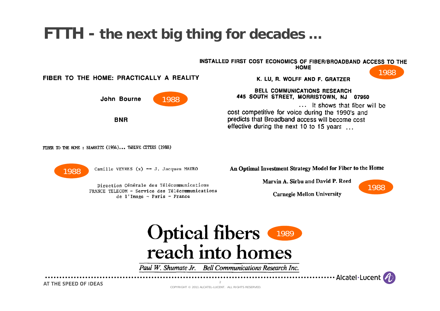### **FTTH - the next big thing for decades …**

INSTALLED FIRST COST ECONOMICS OF FIBER/BROADBAND ACCESS TO THE

**HOME** 



FIBER TO THE HOME: PRACTICALLY A REALITY



**BNR** 

K. LU, R. WOLFF AND F. GRATZER

**BELL COMMUNICATIONS RESEARCH** 445 SOUTH STREET, MORRISTOWN, NJ 07960

... It shows that fiber will be cost competitive for voice during the 1990's and predicts that Broadband access will become cost effective during the next 10 to 15 years

FIBER TO THE HOME: BIARRITZ (1984)... TWELVE CITIES (1988)



Camille VEYRES  $(x)$  -- J. Jacques MAURO

Direction Générale des Télécommunications FRANCE TELECOM - Service des Télécommunications de l'Image  $\neg$  Paris - France

An Optimal Investment Strategy Model for Fiber to the Home

Marvin A. Sirbu and David P. Reed



**Carnegie Mellon University** 



Paul W. Shumate Jr. Bell Communications Research Inc.

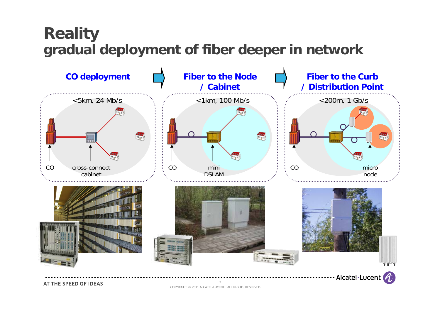### **Reality gradual deployment of fiber deeper in network**

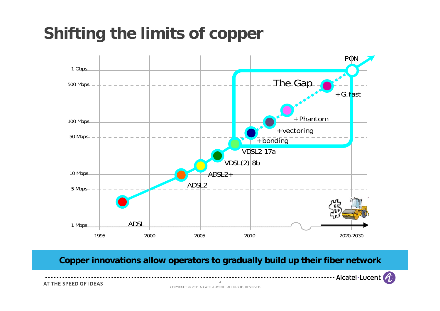# **Shifting the limits of copper**



**Copper innovations allow operators to gradually build up their fiber network**

..................... Alcatel Lucent (2)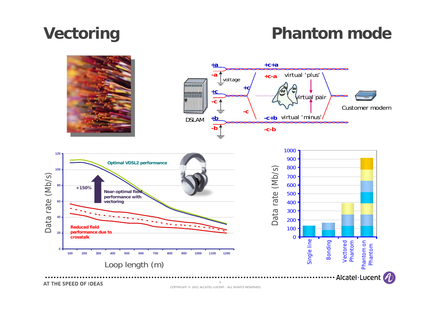## **Vectoring**

### **Phantom mode**



COPYRIGHT © 2011 ALCATEL-LUCENT. ALL RIGHTS RESERVED.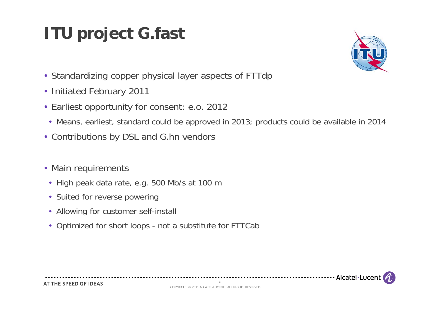# **ITU project G.fast**



- Standardizing copper physical layer aspects of FTTdp
- Initiated February 2011
- Earliest opportunity for consent: e.o. 2012
	- Means, earliest, standard could be approved in 2013; products could be available in 2014
- Contributions by DSL and G.hn vendors
- Main requirements
	- High peak data rate, e.g. 500 Mb/s at 100 m
	- Suited for reverse powering
	- Allowing for customer self-install
	- Optimized for short loops not a substitute for FTTCab



................................ Alcatel · Lucer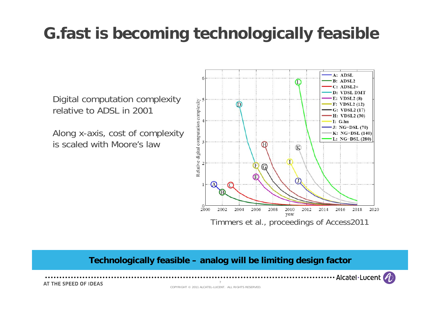## **G.fast is becoming technologically feasible**

Digital computation complexity relative to ADSL in 2001

Along x-axis, cost of complexity is scaled with Moore's law



#### **Technologically feasible – analog will be limiting design factor**

Alcatel·Lucent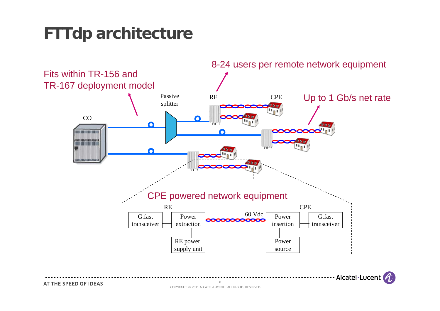# **FTTdp architecture**

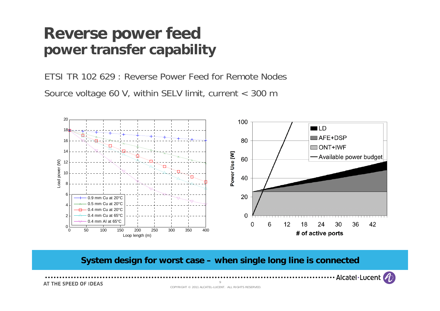#### **Reverse power feed power transfer capability**

ETSI TR 102 629 : Reverse Power Feed for Remote NodesSource voltage 60 V, within SELV limit, current < 300 m



**System design for worst case – when single long line is connected**

9

Alcatel·Lucent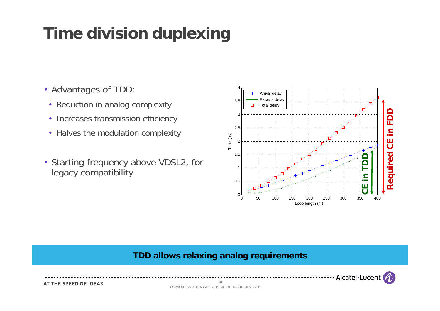# **Time division duplexing**

- Advantages of TDD:
	- Reduction in analog complexity
	- Increases transmission efficiency
	- Halves the modulation complexity
- Starting frequency above VDSL2, for legacy compatibility



#### **TDD allows relaxing analog requirements**



AT THE SPEED OF IDEAS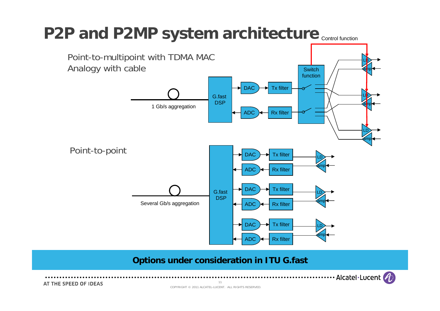## P2P and P2MP system architecture  $_{\textsf{\tiny{Control function}}}$



#### **Options under consideration in ITU G.fast**

11

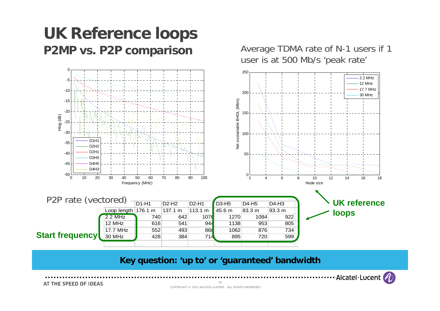### **UK Reference loops P2MP vs. P2P comparison**



#### **Key question: 'up to' or 'guaranteed' bandwidth**

Alcatel·Lucent

Average TDMA rate of N-1 users if 1

AT THE SPEED OF IDEAS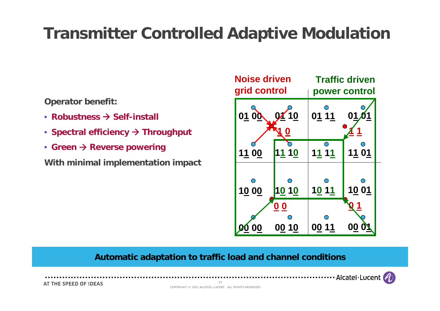## **Transmitter Controlled Adaptive Modulation**

**Operator benefit:** 

- Robustness  $\rightarrow$  Self-install
- Spectral efficiency  $\rightarrow$  Throughput
- Green → Reverse powering

**With minimal implementation impact**



#### **Automatic adaptation to traffic load and channel conditions**

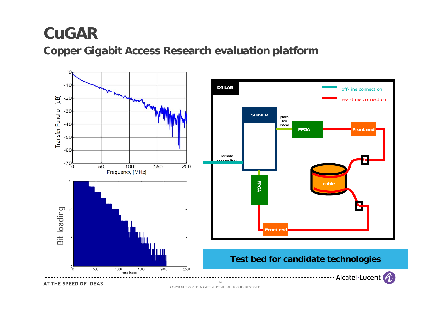### **CuGAR**

**Copper Gigabit Access Research evaluation platform**



AT THE SPEED OF IDEAS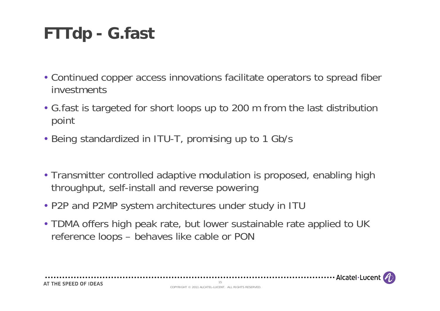# **FTTdp - G.fast**

- Continued copper access innovations facilitate operators to spread fiber investments
- G.fast is targeted for short loops up to 200 m from the last distribution point
- Being standardized in ITU-T, promising up to 1 Gb/s
- Transmitter controlled adaptive modulation is proposed, enabling high throughput, self-install and reverse powering
- P2P and P2MP system architectures under study in ITU

. . . . . . . . . . . . . . .

• TDMA offers high peak rate, but lower sustainable rate applied to UK reference loops – behaves like cable or PON



15